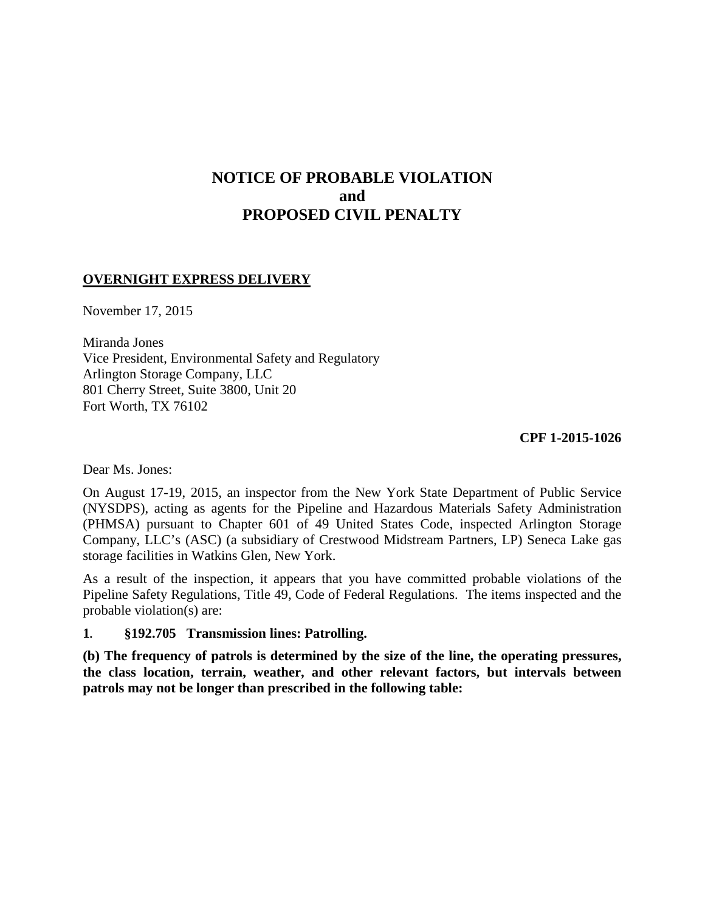# **NOTICE OF PROBABLE VIOLATION and PROPOSED CIVIL PENALTY**

### **OVERNIGHT EXPRESS DELIVERY**

November 17, 2015

Miranda Jones Vice President, Environmental Safety and Regulatory Arlington Storage Company, LLC 801 Cherry Street, Suite 3800, Unit 20 Fort Worth, TX 76102

 **CPF 1-2015-1026** 

Dear Ms. Jones:

On August 17-19, 2015, an inspector from the New York State Department of Public Service (NYSDPS), acting as agents for the Pipeline and Hazardous Materials Safety Administration (PHMSA) pursuant to Chapter 601 of 49 United States Code, inspected Arlington Storage Company, LLC's (ASC) (a subsidiary of Crestwood Midstream Partners, LP) Seneca Lake gas storage facilities in Watkins Glen, New York.

As a result of the inspection, it appears that you have committed probable violations of the Pipeline Safety Regulations, Title 49, Code of Federal Regulations. The items inspected and the probable violation(s) are:

### **1. §192.705 Transmission lines: Patrolling.**

**(b) The frequency of patrols is determined by the size of the line, the operating pressures, the class location, terrain, weather, and other relevant factors, but intervals between patrols may not be longer than prescribed in the following table:**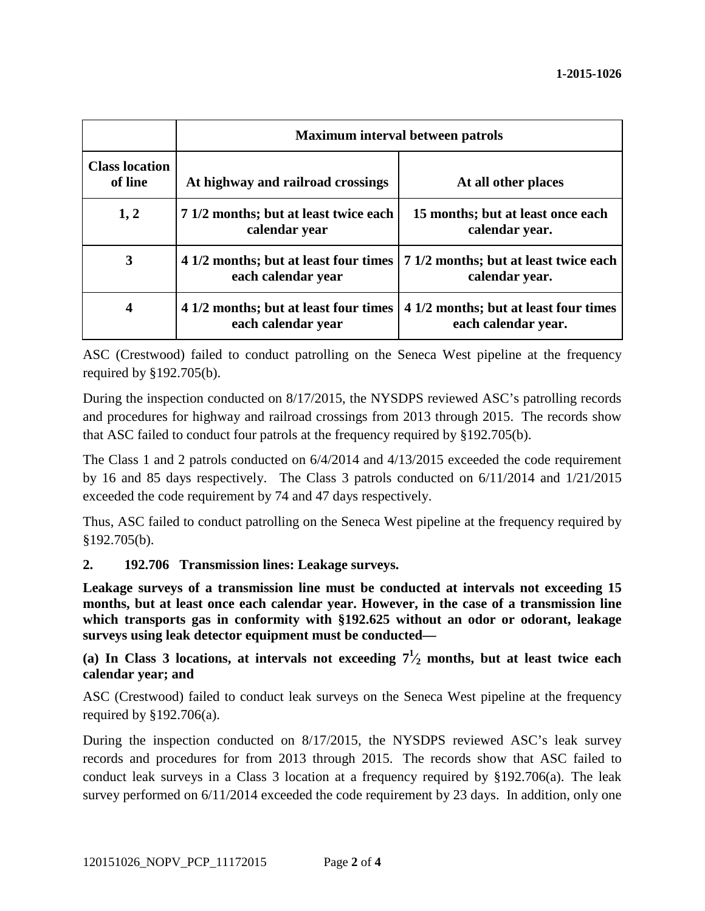|                                  | <b>Maximum interval between patrols</b>                     |                                                                                                 |
|----------------------------------|-------------------------------------------------------------|-------------------------------------------------------------------------------------------------|
| <b>Class location</b><br>of line | At highway and railroad crossings                           | At all other places                                                                             |
| 1, 2                             | 7 1/2 months; but at least twice each<br>calendar year      | 15 months; but at least once each<br>calendar year.                                             |
| 3                                | each calendar year                                          | 4 1/2 months; but at least four times   7 1/2 months; but at least twice each<br>calendar year. |
| 4                                | 4 1/2 months; but at least four times<br>each calendar year | 4 1/2 months; but at least four times<br>each calendar year.                                    |

ASC (Crestwood) failed to conduct patrolling on the Seneca West pipeline at the frequency required by §192.705(b).

During the inspection conducted on 8/17/2015, the NYSDPS reviewed ASC's patrolling records and procedures for highway and railroad crossings from 2013 through 2015. The records show that ASC failed to conduct four patrols at the frequency required by §192.705(b).

The Class 1 and 2 patrols conducted on 6/4/2014 and 4/13/2015 exceeded the code requirement by 16 and 85 days respectively. The Class 3 patrols conducted on 6/11/2014 and 1/21/2015 exceeded the code requirement by 74 and 47 days respectively.

Thus, ASC failed to conduct patrolling on the Seneca West pipeline at the frequency required by §192.705(b).

### **2. 192.706 Transmission lines: Leakage surveys.**

**Leakage surveys of a transmission line must be conducted at intervals not exceeding 15 months, but at least once each calendar year. However, in the case of a transmission line which transports gas in conformity with §192.625 without an odor or odorant, leakage surveys using leak detector equipment must be conducted—** 

## (a) In Class 3 locations, at intervals not exceeding  $7\frac{1}{2}$  months, but at least twice each **calendar year; and**

ASC (Crestwood) failed to conduct leak surveys on the Seneca West pipeline at the frequency required by §192.706(a).

During the inspection conducted on 8/17/2015, the NYSDPS reviewed ASC's leak survey records and procedures for from 2013 through 2015. The records show that ASC failed to conduct leak surveys in a Class 3 location at a frequency required by §192.706(a). The leak survey performed on  $6/11/2014$  exceeded the code requirement by 23 days. In addition, only one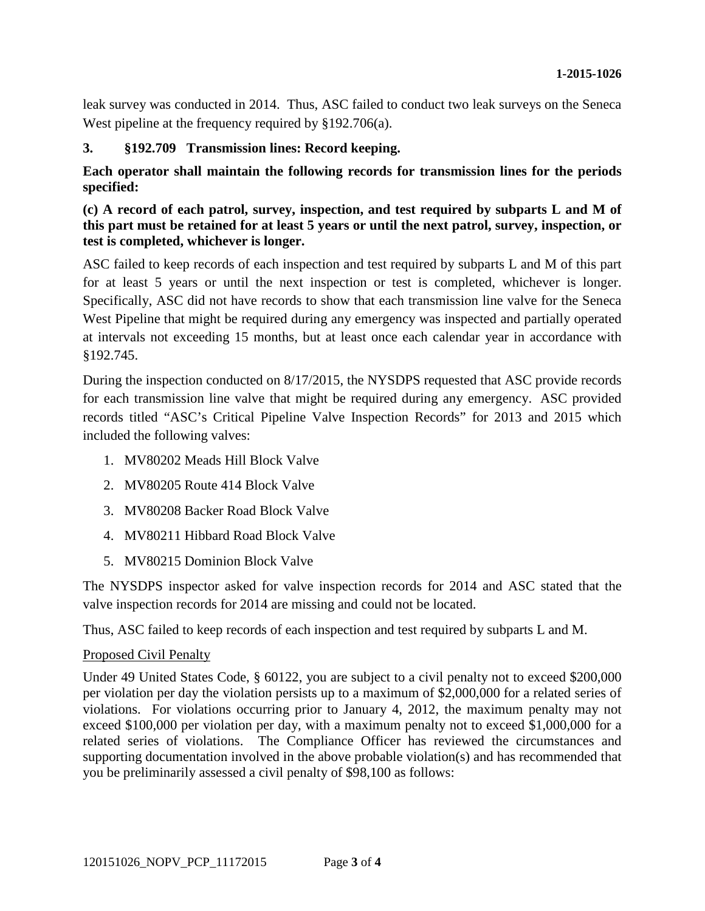leak survey was conducted in 2014. Thus, ASC failed to conduct two leak surveys on the Seneca West pipeline at the frequency required by §192.706(a).

### **3. §192.709 Transmission lines: Record keeping.**

**Each operator shall maintain the following records for transmission lines for the periods specified:** 

### **(c) A record of each patrol, survey, inspection, and test required by subparts L and M of this part must be retained for at least 5 years or until the next patrol, survey, inspection, or test is completed, whichever is longer.**

ASC failed to keep records of each inspection and test required by subparts L and M of this part for at least 5 years or until the next inspection or test is completed, whichever is longer. Specifically, ASC did not have records to show that each transmission line valve for the Seneca West Pipeline that might be required during any emergency was inspected and partially operated at intervals not exceeding 15 months, but at least once each calendar year in accordance with §192.745.

During the inspection conducted on 8/17/2015, the NYSDPS requested that ASC provide records for each transmission line valve that might be required during any emergency. ASC provided records titled "ASC's Critical Pipeline Valve Inspection Records" for 2013 and 2015 which included the following valves:

- 1. MV80202 Meads Hill Block Valve
- 2. MV80205 Route 414 Block Valve
- 3. MV80208 Backer Road Block Valve
- 4. MV80211 Hibbard Road Block Valve
- 5. MV80215 Dominion Block Valve

The NYSDPS inspector asked for valve inspection records for 2014 and ASC stated that the valve inspection records for 2014 are missing and could not be located.

Thus, ASC failed to keep records of each inspection and test required by subparts L and M.

### Proposed Civil Penalty

Under 49 United States Code, § 60122, you are subject to a civil penalty not to exceed \$200,000 per violation per day the violation persists up to a maximum of \$2,000,000 for a related series of violations. For violations occurring prior to January 4, 2012, the maximum penalty may not exceed \$100,000 per violation per day, with a maximum penalty not to exceed \$1,000,000 for a related series of violations. The Compliance Officer has reviewed the circumstances and supporting documentation involved in the above probable violation(s) and has recommended that you be preliminarily assessed a civil penalty of \$98,100 as follows: